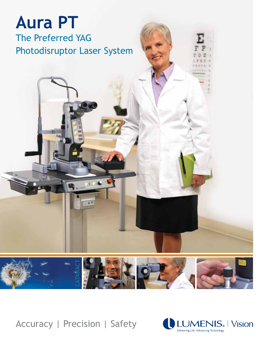# **Aura PT** The Preferred YAG Photodisruptor Laser System

ara J



Accuracy | Precision | Safety

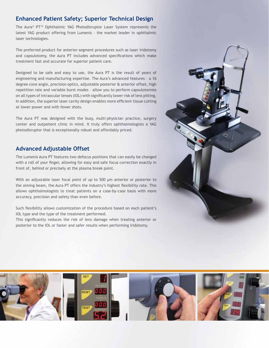#### **Enhanced Patient Safety; Superior Technical Design**

The Aura® PT™ Ophthalmic YAG Photodisruptor Laser System represents the latest YAG product offering from Lumenis – the market leader in ophthalmic laser technologies.

The preferred product for anterior-segment procedures such as laser iridotomy and capsulotomy, the Aura PT includes advanced specifications which make treatment fast and accurate for superior patient care.

Designed to be safe and easy to use, the Aura PT is the result of years of engineering and manufacturing expertise. The Aura's advanced features – a 16 degree cone angle, precision optics, adjustable posterior & anterior offset, high repetition rate and variable burst modes – allow you to perform capsulotomies on all types of intraocular lenses (IOL) with significantly lower risk of lens pitting. In addition, the superior laser cavity design enables more efficient tissue cutting at lower power and with fewer shots.

The Aura PT was designed with the busy, multi-physician practice, surgery center and outpatient clinic in mind. It truly offers ophthalmologists a YAG photodisruptor that is exceptionally robust and affordably priced.

#### **Advanced Adjustable Offset**

The Lumenis Aura PT features two defocus positions that can easily be changed with a roll of your finger, allowing for easy and safe focus correction exactly in front of, behind or precisely at the plasma break point.

With an adjustable laser focal point of up to 500 µm anterior or posterior to the aiming beam, the Aura PT offers the industry's highest flexibility rate. This allows ophthalmologists to treat patients on a case-by-case basis with more accuracy, precision and safety than even before.

Such flexibility allows customization of the procedure based on each patient's IOL type and the type of the treatment performed.

This significantly reduces the risk of lens damage when treating anterior or posterior to the IOL or faster and safer results when performing iridotomy.



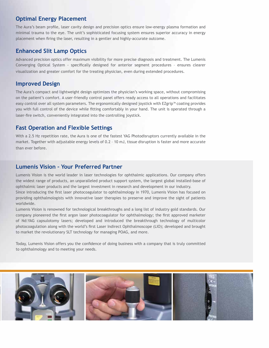#### **Optimal Energy Placement**

The Aura's beam profile, laser cavity design and precision optics ensure low-energy plasma formation and minimal trauma to the eye. The unit's sophisticated focusing system ensures superior accuracy in energy placement when firing the laser, resulting in a gentler and highly-accurate outcome.

#### **Enhanced Slit Lamp Optics**

Advanced precision optics offer maximum visibility for more precise diagnosis and treatment. The Lumenis Converging Optical System - specifically designed for anterior segment procedures – ensures clearer visualization and greater comfort for the treating physician, even during extended procedures.

#### **Improved Design**

The Aura's compact and lightweight design optimizes the physician's working space, without compromising on the patient's comfort. A user-friendly control panel offers ready access to all operations and facilitates easy control over all system parameters. The ergonomically designed joystick with EZgrip™ coating provides you with full control of the device while fitting comfortably in your hand. The unit is operated through a laser-fire switch, conveniently integrated into the controlling joystick.

### **Fast Operation and Flexible Settings**

With a 2.5 Hz repetition rate, the Aura is one of the fastest YAG Photodisruptors currently available in the market. Together with adjustable energy levels of 0.2 – 10 mJ, tissue disruption is faster and more accurate than ever before.

### **Lumenis Vision – Your Preferred Partner**

Lumenis Vision is the world leader in laser technologies for ophthalmic applications. Our company offers the widest range of products, an unparalleled product support system, the largest global installed-base of ophthalmic laser products and the largest investment in research and development in our industry.

Since introducing the first laser photocoagulator to ophthalmology in 1970, Lumenis Vision has focused on providing ophthalmologists with innovative laser therapies to preserve and improve the sight of patients worldwide.

Lumenis Vision is renowned for technological breakthroughs and a long list of industry gold standards. Our company pioneered the first argon laser photocoagulator for ophthalmology; the first approved marketer of Nd:YAG capsulotomy lasers; developed and introduced the breakthrough technology of multicolor photocoagulation along with the world's first Laser Indirect Ophthalmoscope (LIO); developed and brought to market the revolutionary SLT technology for managing POAG, and more.

Today, Lumenis Vision offers you the confidence of doing business with a company that is truly committed to ophthalmology and to meeting your needs.